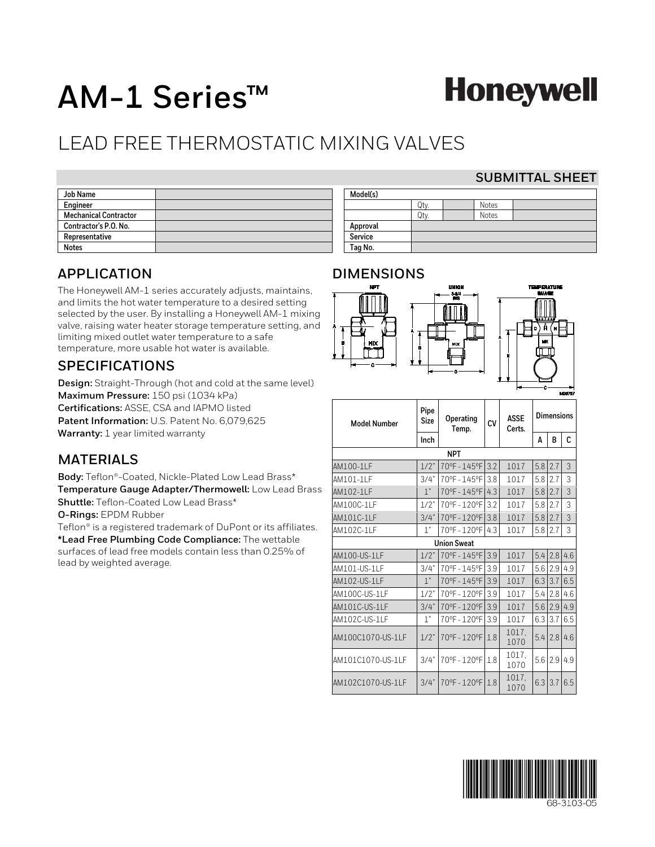# **AM-1 Series™**

# **Honeywell**

### LEAD FREE THERMOSTATIC MIXING VALVES

#### **SUBMITTAL SHEET**

| <b>Job Name</b>              |  |
|------------------------------|--|
| Engineer                     |  |
| <b>Mechanical Contractor</b> |  |
| Contractor's P.O. No.        |  |
| Representative               |  |
| <b>Notes</b>                 |  |

| Model(s) |      |       |  |
|----------|------|-------|--|
|          | Qty. | Notes |  |
|          | Jtv  | Notes |  |
| Approval |      |       |  |
| Service  |      |       |  |
| Tag No.  |      |       |  |

### **APPLICATION**

The Honeywell AM-1 series accurately adjusts, maintains, and limits the hot water temperature to a desired setting selected by the user. By installing a Honeywell AM-1 mixing valve, raising water heater storage temperature setting, and limiting mixed outlet water temperature to a safe temperature, more usable hot water is available.

#### **SPECIFICATIONS**

**Design:** Straight-Through (hot and cold at the same level) **Maximum Pressure:** 150 psi (1034 kPa) **Certifications:** ASSE, CSA and IAPMO listed **Patent Information:** U.S. Patent No. 6,079,625 **Warranty:** 1 year limited warranty

### **MATERIALS**

**Body:** Teflon®-Coated, Nickle-Plated Low Lead Brass\* **Temperature Gauge Adapter/Thermowell:** Low Lead Brass **Shuttle:** Teflon-Coated Low Lead Brass\*

**O-Rings:** EPDM Rubber

Teflon® is a registered trademark of DuPont or its affiliates. **\*Lead Free Plumbing Code Compliance:** The wettable surfaces of lead free models contain less than 0.25% of lead by weighted average.

### **DIMENSIONS**





| <b>Model Number</b> | Pipe<br><b>Size</b> | Operating<br>Temp. | CV  | <b>ASSE</b><br>Certs. | <b>Dimensions</b> |     |     |  |  |  |
|---------------------|---------------------|--------------------|-----|-----------------------|-------------------|-----|-----|--|--|--|
|                     | Inch                |                    |     |                       | A                 | B   | C   |  |  |  |
| <b>NPT</b>          |                     |                    |     |                       |                   |     |     |  |  |  |
| AM100-1LF           | $1/2$ "             | 70°F-145°F         | 3.2 | 1017                  | 5.8               | 7.7 | 3   |  |  |  |
| AM101-1LF           | 3/4"                | 70°F-145°F         | 3.8 | 1017                  | 5.8               | 7.7 | 3   |  |  |  |
| AM102-1LF           | 1"                  | 70°F-145°F         | 4.3 | 1017                  | 5.8               | 2.7 | 3   |  |  |  |
| AM100C-1LF          | 1/2"                | 70°F-120°F         | 3.2 | 1017                  | 5.8               | 2.7 | 3   |  |  |  |
| AM101C-1LF          | 3/4"                | 70°F-120°F         | 3.8 | 1017                  | 5.8               | 2.7 | 3   |  |  |  |
| AM102C-1LF          | 1"                  | 70°F-120°F         | 4.3 | 1017                  | 5.8               | 2.7 | 3   |  |  |  |
| <b>Union Sweat</b>  |                     |                    |     |                       |                   |     |     |  |  |  |
| AM100-US-1LF        | 1/2"                | 70°F-145°F         | 3.9 | 1017                  | 5.4               | 2.8 | 4.6 |  |  |  |
| AM101-US-1LF        | 3/4"                | 70°F-145°F         | 3.9 | 1017                  | 5.6               | 2.9 | 4.9 |  |  |  |
| AM102-US-1LF        | 1"                  | 70°F - 145°F 3.9   |     | 1017                  | 6.3               | 3.7 | 6.5 |  |  |  |
| AM100C-US-1LF       | 1/2"                | 70°F-120°F         | 3.9 | 1017                  | 5.4               | 2.8 | 4.6 |  |  |  |
| AM101C-US-1LF       | 3/4"                | 70°F-120°F         | 3.9 | 1017                  | 5.6               | 7.9 | 4.9 |  |  |  |
| AM102C-US-1LF       | 1"                  | 70°F-120°F         | 3.9 | 1017                  | 6.3               | 3.7 | 6.5 |  |  |  |
| AM100C1070-US-1LF   | 1/2"                | 70°F - 120°F 1.8   |     | 1017.<br>1070         | 5.4               | 2.8 | 4.6 |  |  |  |
| AM101C1070-US-1LF   | 3/4"                | 70°F-120°F         | 1.8 | 1017.<br>1070         | 5.6               | 7.9 | 4.9 |  |  |  |
| AM102C1070-US-1LF   | 3/4"                | 70°F - 120°F 1.8   |     | 1017.<br>1070         | 6.3               | 3.7 | 6.5 |  |  |  |